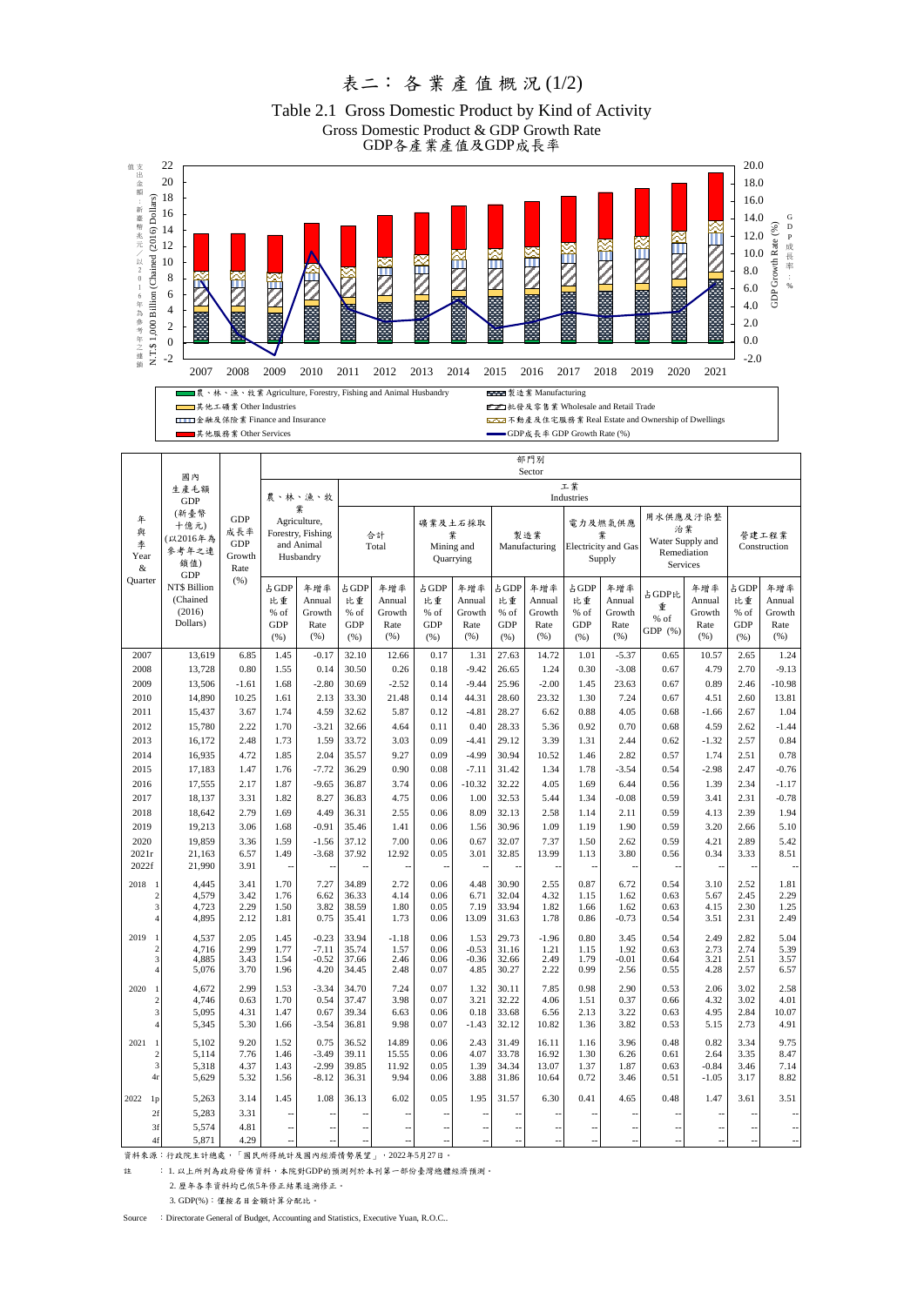## 表二: 各 業 產 值 概 況 (1/2)

GDP各產業產值及GDP成長率 Gross Domestic Product & GDP Growth Rate Table 2.1 Gross Domestic Product by Kind of Activity



 $\blacksquare$ 

 $\mathsf{L}$ 

 $\blacksquare$ 

ь

 $\mathbf{I}$ 

金融及保險業 Finance and Insurance 不動產及住宅服務業 Real Estate and Ownership of Dwellings

■其他服務業 Other Services GDP Growth Rate (%)

部門別

|                                     | 國內<br>生產毛額<br><b>GDP</b><br>(新臺幣<br>十億元)<br>(以2016年為<br>參考年之連<br>鎖值)<br><b>GDP</b><br><b>NTS Billion</b><br>(Chained<br>(2016)<br>Dollars) | <b>GDP</b><br>成長率<br>GDP<br>Growth<br>Rate<br>(% ) |                                                                              | Sector                                  |                                          |                                        |                                          |                                         |                                          |                                         |                                                      |                                         |                                                               |                                         |                                           |                                         |
|-------------------------------------|--------------------------------------------------------------------------------------------------------------------------------------------|----------------------------------------------------|------------------------------------------------------------------------------|-----------------------------------------|------------------------------------------|----------------------------------------|------------------------------------------|-----------------------------------------|------------------------------------------|-----------------------------------------|------------------------------------------------------|-----------------------------------------|---------------------------------------------------------------|-----------------------------------------|-------------------------------------------|-----------------------------------------|
| 年<br>與<br>季<br>Year<br>&<br>Ouarter |                                                                                                                                            |                                                    | 農、林、漁、牧<br>糞<br>Agriculture,<br>Forestry, Fishing<br>and Animal<br>Husbandry |                                         | 工業<br>Industries                         |                                        |                                          |                                         |                                          |                                         |                                                      |                                         |                                                               |                                         |                                           |                                         |
|                                     |                                                                                                                                            |                                                    |                                                                              |                                         | 合計<br>Total                              |                                        | 礦業及土石採取<br>業<br>Mining and<br>Quarrying  |                                         | 製造業<br>Manufacturing                     |                                         | 電力及燃氣供應<br>業<br><b>Electricity</b> and Gas<br>Supply |                                         | 用水供應及汙染整<br>治業<br>Water Supply and<br>Remediation<br>Services |                                         | 營建工程業<br>Construction                     |                                         |
|                                     |                                                                                                                                            |                                                    | 占GDP<br>比重<br>% of<br><b>GDP</b><br>(% )                                     | 年增率<br>Annual<br>Growth<br>Rate<br>(% ) | 占GDP<br>比重<br>% of<br><b>GDP</b><br>(% ) | 年增率<br>Annual<br>Growth<br>Rate<br>(%) | 占GDP<br>比重<br>% of<br><b>GDP</b><br>(% ) | 年增率<br>Annual<br>Growth<br>Rate<br>(% ) | 占 GDP<br>比重<br>% of<br><b>GDP</b><br>(%) | 年增率<br>Annual<br>Growth<br>Rate<br>(% ) | 占 GDP<br>比重<br>% of<br><b>GDP</b><br>(% )            | 年增率<br>Annual<br>Growth<br>Rate<br>(% ) | 占GDP比<br>重<br>% of<br>GDP $(%)$                               | 年增率<br>Annual<br>Growth<br>Rate<br>(% ) | 占 GDP<br>比重<br>% of<br><b>GDP</b><br>(% ) | 年增率<br>Annual<br>Growth<br>Rate<br>(% ) |
| 2007                                | 13,619                                                                                                                                     | 6.85                                               | 1.45                                                                         | $-0.17$                                 | 32.10                                    | 12.66                                  | 0.17                                     | 1.31                                    | 27.63                                    | 14.72                                   | 1.01                                                 | $-5.37$                                 | 0.65                                                          | 10.57                                   | 2.65                                      | 1.24                                    |
| 2008                                | 13,728                                                                                                                                     | 0.80                                               | 1.55                                                                         | 0.14                                    | 30.50                                    | 0.26                                   | 0.18                                     | $-9.42$                                 | 26.65                                    | 1.24                                    | 0.30                                                 | $-3.08$                                 | 0.67                                                          | 4.79                                    | 2.70                                      | $-9.13$                                 |
| 2009                                | 13,506                                                                                                                                     | $-1.61$                                            | 1.68                                                                         | $-2.80$                                 | 30.69                                    | $-2.52$                                | 0.14                                     | $-9.44$                                 | 25.96                                    | $-2.00$                                 | 1.45                                                 | 23.63                                   | 0.67                                                          | 0.89                                    | 2.46                                      | $-10.98$                                |
| 2010                                | 14,890                                                                                                                                     | 10.25                                              | 1.61                                                                         | 2.13                                    | 33.30                                    | 21.48                                  | 0.14                                     | 44.31                                   | 28.60                                    | 23.32                                   | 1.30                                                 | 7.24                                    | 0.67                                                          | 4.51                                    | 2.60                                      | 13.81                                   |
| 2011                                | 15,437                                                                                                                                     | 3.67                                               | 1.74                                                                         | 4.59                                    | 32.62                                    | 5.87                                   | 0.12                                     | $-4.81$                                 | 28.27                                    | 6.62                                    | 0.88                                                 | 4.05                                    | 0.68                                                          | $-1.66$                                 | 2.67                                      | 1.04                                    |
| 2012                                | 15,780                                                                                                                                     | 2.22                                               | 1.70                                                                         | $-3.21$                                 | 32.66                                    | 4.64                                   | 0.11                                     | 0.40                                    | 28.33                                    | 5.36                                    | 0.92                                                 | 0.70                                    | 0.68                                                          | 4.59                                    | 2.62                                      | $-1.44$                                 |
| 2013                                | 16,172                                                                                                                                     | 2.48                                               | 1.73                                                                         | 1.59                                    | 33.72                                    | 3.03                                   | 0.09                                     | $-4.41$                                 | 29.12                                    | 3.39                                    | 1.31                                                 | 2.44                                    | 0.62                                                          | $-1.32$                                 | 2.57                                      | 0.84                                    |
| 2014                                | 16,935                                                                                                                                     | 4.72                                               | 1.85                                                                         | 2.04                                    | 35.57                                    | 9.27                                   | 0.09                                     | $-4.99$                                 | 30.94                                    | 10.52                                   | 1.46                                                 | 2.82                                    | 0.57                                                          | 1.74                                    | 2.51                                      | 0.78                                    |
| 2015                                | 17,183                                                                                                                                     | 1.47                                               | 1.76                                                                         | $-7.72$                                 | 36.29                                    | 0.90                                   | 0.08                                     | $-7.11$                                 | 31.42                                    | 1.34                                    | 1.78                                                 | $-3.54$                                 | 0.54                                                          | $-2.98$                                 | 2.47                                      | $-0.76$                                 |
| 2016                                | 17,555                                                                                                                                     | 2.17                                               | 1.87                                                                         | $-9.65$                                 | 36.87                                    | 3.74                                   | 0.06                                     | $-10.32$                                | 32.22                                    | 4.05                                    | 1.69                                                 | 6.44                                    | 0.56                                                          | 1.39                                    | 2.34                                      | $-1.17$                                 |
| 2017                                | 18,137                                                                                                                                     | 3.31                                               | 1.82                                                                         | 8.27                                    | 36.83                                    | 4.75                                   | 0.06                                     | 1.00                                    | 32.53                                    | 5.44                                    | 1.34                                                 | $-0.08$                                 | 0.59                                                          | 3.41                                    | 2.31                                      | $-0.78$                                 |
| 2018                                | 18,642                                                                                                                                     | 2.79                                               | 1.69                                                                         | 4.49                                    | 36.31                                    | 2.55                                   | 0.06                                     | 8.09                                    | 32.13                                    | 2.58                                    | 1.14                                                 | 2.11                                    | 0.59                                                          | 4.13                                    | 2.39                                      | 1.94                                    |
| 2019                                | 19,213                                                                                                                                     | 3.06                                               | 1.68                                                                         | $-0.91$                                 | 35.46                                    | 1.41                                   | 0.06                                     | 1.56                                    | 30.96                                    | 1.09                                    | 1.19                                                 | 1.90                                    | 0.59                                                          | 3.20                                    | 2.66                                      | 5.10                                    |
| 2020                                | 19,859                                                                                                                                     | 3.36                                               | 1.59                                                                         | $-1.56$                                 | 37.12                                    | 7.00                                   | 0.06                                     | 0.67                                    | 32.07                                    | 7.37                                    | 1.50                                                 | 2.62                                    | 0.59                                                          | 4.21                                    | 2.89                                      | 5.42                                    |
| 2021r<br>2022f                      | 21,163<br>21,990                                                                                                                           | 6.57<br>3.91                                       | 1.49                                                                         | $-3.68$<br>$\overline{\phantom{a}}$     | 37.92<br>$\overline{a}$                  | 12.92<br>$\ddot{\phantom{a}}$          | 0.05<br>$\overline{\phantom{a}}$         | 3.01<br>÷.                              | 32.85<br>$\overline{\phantom{a}}$        | 13.99<br>Ξ.                             | 1.13<br>$\overline{\phantom{a}}$                     | 3.80<br>÷.                              | 0.56<br>$\overline{a}$                                        | 0.34<br>$\overline{\phantom{a}}$        | 3.33<br>$\sim$                            | 8.51<br>$\overline{\phantom{a}}$        |
| 2018<br>$\overline{1}$              | 4.445                                                                                                                                      | 3.41                                               | 1.70                                                                         | 7.27                                    | 34.89                                    | 2.72                                   | 0.06                                     | 4.48                                    | 30.90                                    | 2.55                                    | 0.87                                                 | 6.72                                    | 0.54                                                          | 3.10                                    | 2.52                                      | 1.81                                    |
| $\overline{c}$                      | 4,579                                                                                                                                      | 3.42                                               | 1.76                                                                         | 6.62                                    | 36.33                                    | 4.14                                   | 0.06                                     | 6.71                                    | 32.04                                    | 4.32                                    | 1.15                                                 | 1.62                                    | 0.63                                                          | 5.67                                    | 2.45                                      | 2.29                                    |
| 3                                   | 4,723                                                                                                                                      | 2.29                                               | 1.50                                                                         | 3.82                                    | 38.59                                    | 1.80                                   | 0.05                                     | 7.19                                    | 33.94                                    | 1.82                                    | 1.66                                                 | 1.62                                    | 0.63                                                          | 4.15                                    | 2.30                                      | 1.25                                    |
| $\overline{A}$                      | 4,895                                                                                                                                      | 2.12                                               | 1.81                                                                         | 0.75                                    | 35.41                                    | 1.73                                   | 0.06                                     | 13.09                                   | 31.63                                    | 1.78                                    | 0.86                                                 | $-0.73$                                 | 0.54                                                          | 3.51                                    | 2.31                                      | 2.49                                    |
| 2019<br>$\mathbf{1}$                | 4,537                                                                                                                                      | 2.05                                               | 1.45                                                                         | $-0.23$                                 | 33.94                                    | $-1.18$                                | 0.06                                     | 1.53                                    | 29.73                                    | $-1.96$                                 | 0.80                                                 | 3.45                                    | 0.54                                                          | 2.49                                    | 2.82                                      | 5.04                                    |
| $\overline{c}$<br>3                 | 4,716<br>4,885                                                                                                                             | 2.99<br>3.43                                       | 1.77<br>1.54                                                                 | $-7.11$<br>$-0.52$                      | 35.74<br>37.66                           | 1.57<br>2.46                           | 0.06<br>0.06                             | $-0.53$<br>$-0.36$                      | 31.16<br>32.66                           | 1.21<br>2.49                            | 1.15<br>1.79                                         | 1.92<br>$-0.01$                         | 0.63<br>0.64                                                  | 2.73<br>3.21                            | 2.74<br>2.51                              | 5.39<br>3.57                            |
|                                     | 5,076                                                                                                                                      | 3.70                                               | 1.96                                                                         | 4.20                                    | 34.45                                    | 2.48                                   | 0.07                                     | 4.85                                    | 30.27                                    | 2.22                                    | 0.99                                                 | 2.56                                    | 0.55                                                          | 4.28                                    | 2.57                                      | 6.57                                    |
| 2020<br>$\overline{1}$              | 4,672                                                                                                                                      | 2.99                                               | 1.53                                                                         | $-3.34$                                 | 34.70                                    | 7.24                                   | 0.07                                     | 1.32                                    | 30.11                                    | 7.85                                    | 0.98                                                 | 2.90                                    | 0.53                                                          | 2.06                                    | 3.02                                      | 2.58                                    |
| $\overline{c}$                      | 4,746                                                                                                                                      | 0.63                                               | 1.70                                                                         | 0.54                                    | 37.47                                    | 3.98                                   | 0.07                                     | 3.21                                    | 32.22                                    | 4.06                                    | 1.51                                                 | 0.37                                    | 0.66                                                          | 4.32                                    | 3.02                                      | 4.01                                    |
| 3                                   | 5,095                                                                                                                                      | 4.31                                               | 1.47                                                                         | 0.67                                    | 39.34                                    | 6.63                                   | 0.06                                     | 0.18                                    | 33.68                                    | 6.56                                    | 2.13                                                 | 3.22                                    | 0.63                                                          | 4.95                                    | 2.84                                      | 10.07                                   |
| $\overline{A}$                      | 5,345                                                                                                                                      | 5.30                                               | 1.66                                                                         | $-3.54$                                 | 36.81                                    | 9.98                                   | 0.07                                     | $-1.43$                                 | 32.12                                    | 10.82                                   | 1.36                                                 | 3.82                                    | 0.53                                                          | 5.15                                    | 2.73                                      | 4.91                                    |
| 2021<br>$\mathbf{1}$                | 5,102                                                                                                                                      | 9.20                                               | 1.52                                                                         | 0.75                                    | 36.52                                    | 14.89                                  | 0.06                                     | 2.43                                    | 31.49                                    | 16.11                                   | 1.16                                                 | 3.96                                    | 0.48                                                          | 0.82                                    | 3.34                                      | 9.75                                    |
| $\overline{c}$                      | 5,114                                                                                                                                      | 7.76                                               | 1.46                                                                         | $-3.49$                                 | 39.11                                    | 15.55                                  | 0.06                                     | 4.07                                    | 33.78                                    | 16.92                                   | 1.30                                                 | 6.26                                    | 0.61                                                          | 2.64                                    | 3.35                                      | 8.47                                    |
| 3<br>4r                             | 5,318<br>5,629                                                                                                                             | 4.37<br>5.32                                       | 1.43<br>1.56                                                                 | $-2.99$<br>$-8.12$                      | 39.85<br>36.31                           | 11.92<br>9.94                          | 0.05<br>0.06                             | 1.39<br>3.88                            | 34.34<br>31.86                           | 13.07<br>10.64                          | 1.37<br>0.72                                         | 1.87<br>3.46                            | 0.63<br>0.51                                                  | $-0.84$<br>$-1.05$                      | 3.46<br>3.17                              | 7.14<br>8.82                            |
|                                     |                                                                                                                                            |                                                    |                                                                              |                                         |                                          |                                        |                                          |                                         |                                          |                                         |                                                      |                                         |                                                               |                                         |                                           |                                         |
| 2022<br>1 <sub>p</sub>              | 5,263                                                                                                                                      | 3.14                                               | 1.45                                                                         | 1.08                                    | 36.13                                    | 6.02                                   | 0.05                                     | 1.95                                    | 31.57                                    | 6.30                                    | 0.41                                                 | 4.65                                    | 0.48                                                          | 1.47                                    | 3.61                                      | 3.51                                    |
| 2f                                  | 5,283                                                                                                                                      | 3.31                                               |                                                                              |                                         |                                          |                                        |                                          |                                         |                                          |                                         |                                                      |                                         |                                                               |                                         |                                           |                                         |
| 3f                                  | 5,574                                                                                                                                      | 4.81                                               | $\overline{a}$                                                               | Ξ.                                      | --                                       | $\overline{\phantom{a}}$               | $\overline{a}$                           | $\overline{\phantom{a}}$                | $\overline{\phantom{a}}$                 | --                                      | $\overline{a}$                                       | ÷.                                      | $\overline{a}$                                                | --                                      | $\overline{a}$                            | $\overline{\phantom{a}}$                |
| 4f                                  | 5,871                                                                                                                                      | 4.29                                               | $\overline{a}$                                                               | $\overline{a}$                          | $\overline{a}$                           | $\ddot{\phantom{a}}$                   | $\overline{a}$                           | $\overline{a}$                          | $\overline{\phantom{a}}$                 | $\overline{a}$                          | $\overline{\phantom{a}}$                             | $\overline{\phantom{a}}$                | $\overline{\phantom{a}}$                                      | $\overline{\phantom{a}}$                | $\overline{a}$                            | $\overline{\phantom{a}}$                |

資料來源:行政院主計總處,「國民所得統計及國內經濟情勢展望」,2022年5月27日。

註 : 1. 以上所列為政府發佈資料,本院對GDP的預測列於本刊第一部份臺灣總體經濟預測。

2. 歷年各季資料均已依5年修正結果追溯修正。

3. GDP(%):僅按名目金額計算分配比。

Source : Directorate General of Budget, Accounting and Statistics, Executive Yuan, R.O.C..